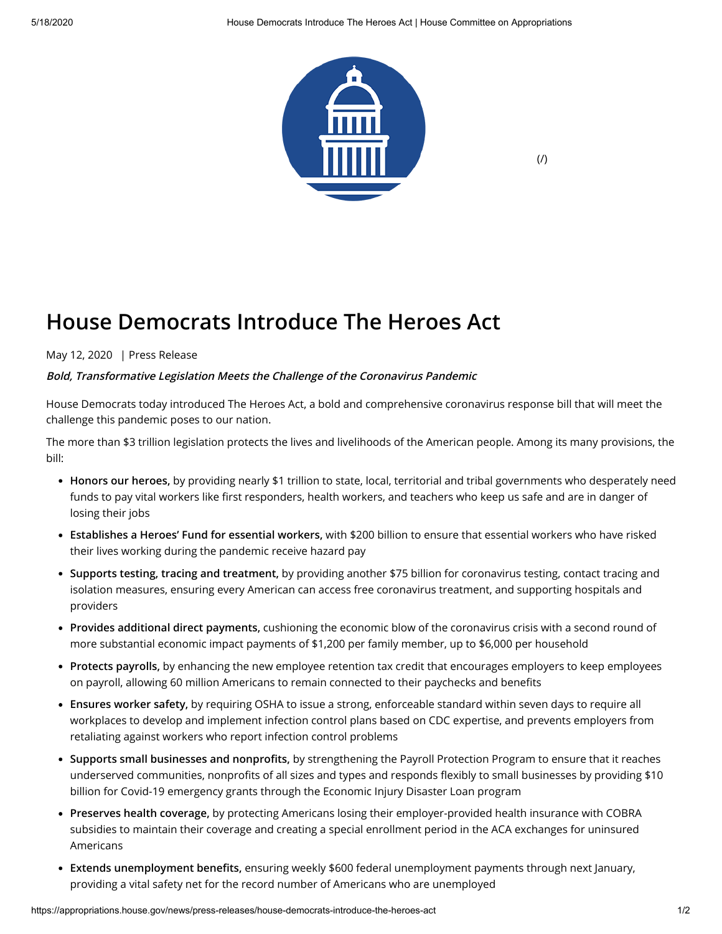

 $($  $/$  $)$ 

## **House Democrats Introduce The Heroes Act**

May 12, 2020 | Press Release

## **Bold, Transformative Legislation Meets the Challenge of the Coronavirus Pandemic**

House Democrats today introduced The Heroes Act, a bold and comprehensive coronavirus response bill that will meet the challenge this pandemic poses to our nation.

The more than \$3 trillion legislation protects the lives and livelihoods of the American people. Among its many provisions, the bill:

- **Honors our heroes,** by providing nearly \$1 trillion to state, local, territorial and tribal governments who desperately need funds to pay vital workers like first responders, health workers, and teachers who keep us safe and are in danger of losing their jobs
- **Establishes a Heroes' Fund for essential workers,** with \$200 billion to ensure that essential workers who have risked their lives working during the pandemic receive hazard pay
- **Supports testing, tracing and treatment,** by providing another \$75 billion for coronavirus testing, contact tracing and isolation measures, ensuring every American can access free coronavirus treatment, and supporting hospitals and providers
- **Provides additional direct payments,** cushioning the economic blow of the coronavirus crisis with a second round of more substantial economic impact payments of \$1,200 per family member, up to \$6,000 per household
- **Protects payrolls,** by enhancing the new employee retention tax credit that encourages employers to keep employees on payroll, allowing 60 million Americans to remain connected to their paychecks and benefits
- **Ensures worker safety,** by requiring OSHA to issue a strong, enforceable standard within seven days to require all workplaces to develop and implement infection control plans based on CDC expertise, and prevents employers from retaliating against workers who report infection control problems
- Supports small businesses and nonprofits, by strengthening the Payroll Protection Program to ensure that it reaches underserved communities, nonprofits of all sizes and types and responds flexibly to small businesses by providing \$10 billion for Covid-19 emergency grants through the Economic Injury Disaster Loan program
- **Preserves health coverage,** by protecting Americans losing their employer-provided health insurance with COBRA subsidies to maintain their coverage and creating a special enrollment period in the ACA exchanges for uninsured Americans
- Extends unemployment benefits, ensuring weekly \$600 federal unemployment payments through next January, providing a vital safety net for the record number of Americans who are unemployed